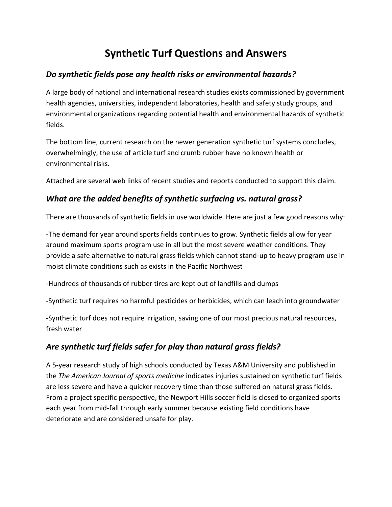# **Synthetic Turf Questions and Answers**

### *Do synthetic fields pose any health risks or environmental hazards?*

A large body of national and international research studies exists commissioned by government health agencies, universities, independent laboratories, health and safety study groups, and environmental organizations regarding potential health and environmental hazards of synthetic fields.

The bottom line, current research on the newer generation synthetic turf systems concludes, overwhelmingly, the use of article turf and crumb rubber have no known health or environmental risks.

Attached are several web links of recent studies and reports conducted to support this claim.

#### *What are the added benefits of synthetic surfacing vs. natural grass?*

There are thousands of synthetic fields in use worldwide. Here are just a few good reasons why:

-The demand for year around sports fields continues to grow. Synthetic fields allow for year around maximum sports program use in all but the most severe weather conditions. They provide a safe alternative to natural grass fields which cannot stand-up to heavy program use in moist climate conditions such as exists in the Pacific Northwest

-Hundreds of thousands of rubber tires are kept out of landfills and dumps

-Synthetic turf requires no harmful pesticides or herbicides, which can leach into groundwater

-Synthetic turf does not require irrigation, saving one of our most precious natural resources, fresh water

## *Are synthetic turf fields safer for play than natural grass fields?*

A 5-year research study of high schools conducted by Texas A&M University and published in the *The American Journal of sports medicine* indicates injuries sustained on synthetic turf fields are less severe and have a quicker recovery time than those suffered on natural grass fields. From a project specific perspective, the Newport Hills soccer field is closed to organized sports each year from mid-fall through early summer because existing field conditions have deteriorate and are considered unsafe for play.